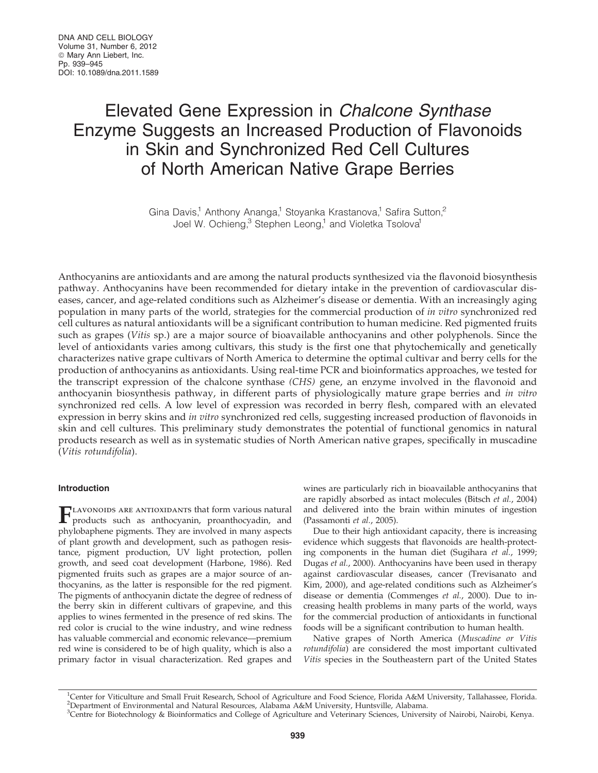# Elevated Gene Expression in Chalcone Synthase Enzyme Suggests an Increased Production of Flavonoids in Skin and Synchronized Red Cell Cultures of North American Native Grape Berries

Gina Davis,<sup>1</sup> Anthony Ananga,<sup>1</sup> Stoyanka Krastanova,<sup>1</sup> Safira Sutton,<sup>2</sup> Joel W. Ochieng, $3$  Stephen Leong,<sup>1</sup> and Violetka Tsolova<sup>1</sup>

Anthocyanins are antioxidants and are among the natural products synthesized via the flavonoid biosynthesis pathway. Anthocyanins have been recommended for dietary intake in the prevention of cardiovascular diseases, cancer, and age-related conditions such as Alzheimer's disease or dementia. With an increasingly aging population in many parts of the world, strategies for the commercial production of in vitro synchronized red cell cultures as natural antioxidants will be a significant contribution to human medicine. Red pigmented fruits such as grapes (Vitis sp.) are a major source of bioavailable anthocyanins and other polyphenols. Since the level of antioxidants varies among cultivars, this study is the first one that phytochemically and genetically characterizes native grape cultivars of North America to determine the optimal cultivar and berry cells for the production of anthocyanins as antioxidants. Using real-time PCR and bioinformatics approaches, we tested for the transcript expression of the chalcone synthase (CHS) gene, an enzyme involved in the flavonoid and anthocyanin biosynthesis pathway, in different parts of physiologically mature grape berries and in vitro synchronized red cells. A low level of expression was recorded in berry flesh, compared with an elevated expression in berry skins and in vitro synchronized red cells, suggesting increased production of flavonoids in skin and cell cultures. This preliminary study demonstrates the potential of functional genomics in natural products research as well as in systematic studies of North American native grapes, specifically in muscadine (Vitis rotundifolia).

# Introduction

**FLAVONOIDS ARE ANTIOXIDANTS that form various natural**<br>products such as anthocyanin, proanthocyadin, and phylobaphene pigments. They are involved in many aspects of plant growth and development, such as pathogen resistance, pigment production, UV light protection, pollen growth, and seed coat development (Harbone, 1986). Red pigmented fruits such as grapes are a major source of anthocyanins, as the latter is responsible for the red pigment. The pigments of anthocyanin dictate the degree of redness of the berry skin in different cultivars of grapevine, and this applies to wines fermented in the presence of red skins. The red color is crucial to the wine industry, and wine redness has valuable commercial and economic relevance—premium red wine is considered to be of high quality, which is also a primary factor in visual characterization. Red grapes and

wines are particularly rich in bioavailable anthocyanins that are rapidly absorbed as intact molecules (Bitsch et al., 2004) and delivered into the brain within minutes of ingestion (Passamonti et al., 2005).

Due to their high antioxidant capacity, there is increasing evidence which suggests that flavonoids are health-protecting components in the human diet (Sugihara et al., 1999; Dugas et al., 2000). Anthocyanins have been used in therapy against cardiovascular diseases, cancer (Trevisanato and Kim, 2000), and age-related conditions such as Alzheimer's disease or dementia (Commenges et al., 2000). Due to increasing health problems in many parts of the world, ways for the commercial production of antioxidants in functional foods will be a significant contribution to human health.

Native grapes of North America (Muscadine or Vitis rotundifolia) are considered the most important cultivated Vitis species in the Southeastern part of the United States

<sup>&</sup>lt;sup>1</sup>Center for Viticulture and Small Fruit Research, School of Agriculture and Food Science, Florida A&M University, Tallahassee, Florida. 2 Department of Environmental and Natural Resources, Alabama A&M University, Huntsville, Alabama.

<sup>3</sup> Centre for Biotechnology & Bioinformatics and College of Agriculture and Veterinary Sciences, University of Nairobi, Nairobi, Kenya.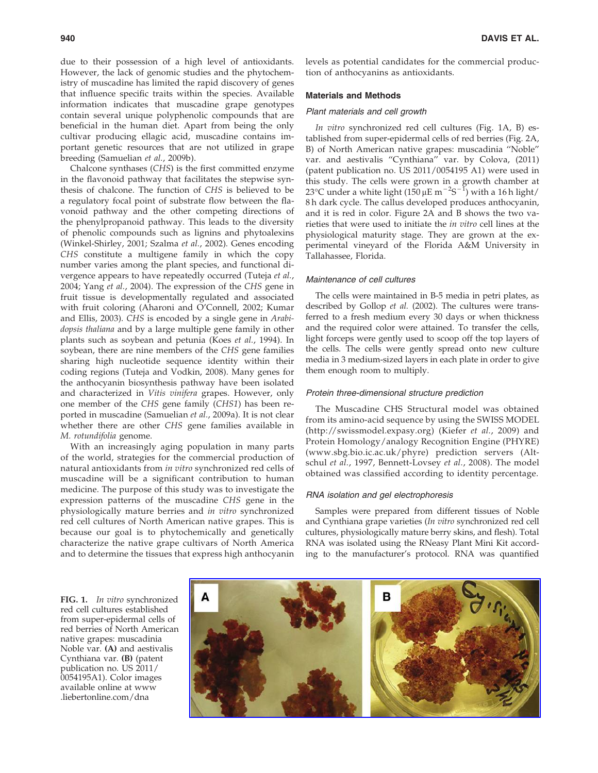due to their possession of a high level of antioxidants. However, the lack of genomic studies and the phytochemistry of muscadine has limited the rapid discovery of genes that influence specific traits within the species. Available information indicates that muscadine grape genotypes contain several unique polyphenolic compounds that are beneficial in the human diet. Apart from being the only cultivar producing ellagic acid, muscadine contains important genetic resources that are not utilized in grape breeding (Samuelian et al., 2009b).

Chalcone synthases (CHS) is the first committed enzyme in the flavonoid pathway that facilitates the stepwise synthesis of chalcone. The function of CHS is believed to be a regulatory focal point of substrate flow between the flavonoid pathway and the other competing directions of the phenylpropanoid pathway. This leads to the diversity of phenolic compounds such as lignins and phytoalexins (Winkel-Shirley, 2001; Szalma et al., 2002). Genes encoding CHS constitute a multigene family in which the copy number varies among the plant species, and functional divergence appears to have repeatedly occurred (Tuteja et al., 2004; Yang et al., 2004). The expression of the CHS gene in fruit tissue is developmentally regulated and associated with fruit coloring (Aharoni and O'Connell, 2002; Kumar and Ellis, 2003). CHS is encoded by a single gene in Arabidopsis thaliana and by a large multiple gene family in other plants such as soybean and petunia (Koes et al., 1994). In soybean, there are nine members of the CHS gene families sharing high nucleotide sequence identity within their coding regions (Tuteja and Vodkin, 2008). Many genes for the anthocyanin biosynthesis pathway have been isolated and characterized in Vitis vinifera grapes. However, only one member of the CHS gene family (CHS1) has been reported in muscadine (Samuelian et al., 2009a). It is not clear whether there are other CHS gene families available in M. rotundifolia genome.

With an increasingly aging population in many parts of the world, strategies for the commercial production of natural antioxidants from in vitro synchronized red cells of muscadine will be a significant contribution to human medicine. The purpose of this study was to investigate the expression patterns of the muscadine CHS gene in the physiologically mature berries and in vitro synchronized red cell cultures of North American native grapes. This is because our goal is to phytochemically and genetically characterize the native grape cultivars of North America and to determine the tissues that express high anthocyanin levels as potential candidates for the commercial production of anthocyanins as antioxidants.

# Materials and Methods

# Plant materials and cell growth

In vitro synchronized red cell cultures (Fig. 1A, B) established from super-epidermal cells of red berries (Fig. 2A, B) of North American native grapes: muscadinia ''Noble'' var. and aestivalis ''Cynthiana'' var. by Colova, (2011) (patent publication no. US 2011/0054195 A1) were used in this study. The cells were grown in a growth chamber at 23°C under a white light (150  $\mu$ E m<sup>-2</sup>S<sup>-1</sup>) with a 16 h light/ 8 h dark cycle. The callus developed produces anthocyanin, and it is red in color. Figure 2A and B shows the two varieties that were used to initiate the in vitro cell lines at the physiological maturity stage. They are grown at the experimental vineyard of the Florida A&M University in Tallahassee, Florida.

## Maintenance of cell cultures

The cells were maintained in B-5 media in petri plates, as described by Gollop et al. (2002). The cultures were transferred to a fresh medium every 30 days or when thickness and the required color were attained. To transfer the cells, light forceps were gently used to scoop off the top layers of the cells. The cells were gently spread onto new culture media in 3 medium-sized layers in each plate in order to give them enough room to multiply.

#### Protein three-dimensional structure prediction

The Muscadine CHS Structural model was obtained from its amino-acid sequence by using the SWISS MODEL (http://swissmodel.expasy.org) (Kiefer et al., 2009) and Protein Homology/analogy Recognition Engine (PHYRE) (www.sbg.bio.ic.ac.uk/phyre) prediction servers (Altschul et al., 1997, Bennett-Lovsey et al., 2008). The model obtained was classified according to identity percentage.

#### RNA isolation and gel electrophoresis

Samples were prepared from different tissues of Noble and Cynthiana grape varieties (In vitro synchronized red cell cultures, physiologically mature berry skins, and flesh). Total RNA was isolated using the RNeasy Plant Mini Kit according to the manufacturer's protocol. RNA was quantified

FIG. 1. In vitro synchronized red cell cultures established from super-epidermal cells of red berries of North American native grapes: muscadinia Noble var. (A) and aestivalis Cynthiana var. (B) (patent publication no. US 2011/ 0054195A1). Color images available online at www .liebertonline.com/dna

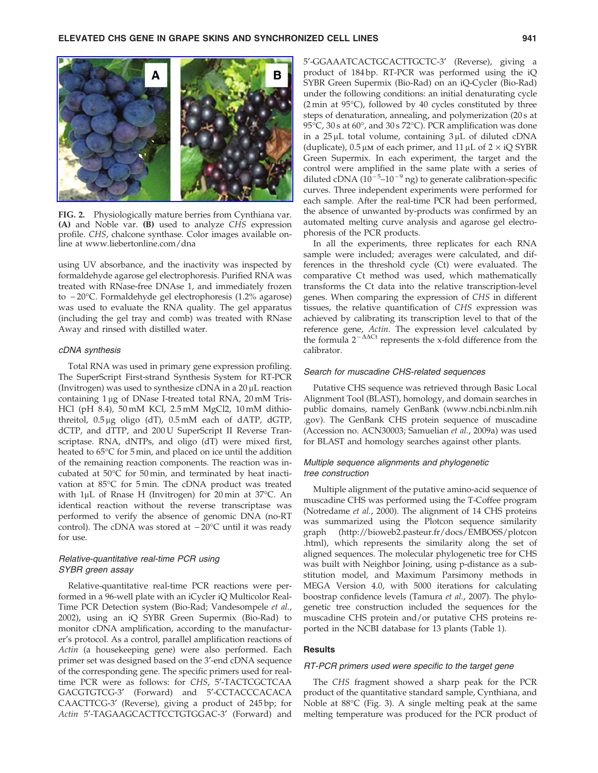

FIG. 2. Physiologically mature berries from Cynthiana var. (A) and Noble var.  $(B)$  used to analyze CHS expression profile. CHS, chalcone synthase. Color images available online at www.liebertonline.com/dna

using UV absorbance, and the inactivity was inspected by formaldehyde agarose gel electrophoresis. Purified RNA was treated with RNase-free DNAse 1, and immediately frozen to –20°C. Formaldehyde gel electrophoresis (1.2% agarose) was used to evaluate the RNA quality. The gel apparatus (including the gel tray and comb) was treated with RNase Away and rinsed with distilled water.

### cDNA synthesis

Total RNA was used in primary gene expression profiling. The SuperScript First-strand Synthesis System for RT-PCR (Invitrogen) was used to synthesize cDNA in a  $20 \mu L$  reaction containing  $1 \mu$ g of DNase I-treated total RNA,  $20 \text{ mM}$  Tris-HCl (pH 8.4), 50 mM KCl, 2.5 mM MgCl2, 10 mM dithiothreitol, 0.5 mg oligo (dT), 0.5 mM each of dATP, dGTP, dCTP, and dTTP, and 200 U SuperScript II Reverse Transcriptase. RNA, dNTPs, and oligo (dT) were mixed first, heated to 65°C for 5 min, and placed on ice until the addition of the remaining reaction components. The reaction was incubated at  $50^{\circ}$ C for  $50$  min, and terminated by heat inactivation at 85°C for 5 min. The cDNA product was treated with 1µL of Rnase H (Invitrogen) for 20 min at 37°C. An identical reaction without the reverse transcriptase was performed to verify the absence of genomic DNA (no-RT control). The cDNA was stored at  $-20^{\circ}$ C until it was ready for use.

## Relative-quantitative real-time PCR using SYBR green assay

Relative-quantitative real-time PCR reactions were performed in a 96-well plate with an iCycler iQ Multicolor Real-Time PCR Detection system (Bio-Rad; Vandesompele et al., 2002), using an iQ SYBR Green Supermix (Bio-Rad) to monitor cDNA amplification, according to the manufacturer's protocol. As a control, parallel amplification reactions of Actin (a housekeeping gene) were also performed. Each primer set was designed based on the 3'-end cDNA sequence of the corresponding gene. The specific primers used for realtime PCR were as follows: for CHS, 5'-TACTCGCTCAA GACGTGTCG-3' (Forward) and 5'-CCTACCCACACA CAACTTCG-3' (Reverse), giving a product of 245 bp; for Actin 5'-TAGAAGCACTTCCTGTGGAC-3' (Forward) and

5¢-GGAAATCACTGCACTTGCTC-3¢ (Reverse), giving a product of 184 bp. RT-PCR was performed using the iQ SYBR Green Supermix (Bio-Rad) on an iQ-Cycler (Bio-Rad) under the following conditions: an initial denaturating cycle  $(2 \text{ min at } 95^{\circ}\text{C})$ , followed by 40 cycles constituted by three steps of denaturation, annealing, and polymerization (20 s at 95°C, 30s at 60°, and 30s 72°C). PCR amplification was done in a  $25 \mu L$  total volume, containing  $3 \mu L$  of diluted cDNA (duplicate),  $0.5 \mu$ M of each primer, and  $11 \mu$ L of  $2 \times i$ Q SYBR Green Supermix. In each experiment, the target and the control were amplified in the same plate with a series of diluted cDNA ( $10^{-5}$ – $10^{-9}$  ng) to generate calibration-specific curves. Three independent experiments were performed for each sample. After the real-time PCR had been performed, the absence of unwanted by-products was confirmed by an automated melting curve analysis and agarose gel electrophoresis of the PCR products.

In all the experiments, three replicates for each RNA sample were included; averages were calculated, and differences in the threshold cycle (Ct) were evaluated. The comparative Ct method was used, which mathematically transforms the Ct data into the relative transcription-level genes. When comparing the expression of CHS in different tissues, the relative quantification of CHS expression was achieved by calibrating its transcription level to that of the reference gene, Actin. The expression level calculated by the formula  $2^{-\Delta\Delta Ct}$  represents the x-fold difference from the calibrator.

#### Search for muscadine CHS-related sequences

Putative CHS sequence was retrieved through Basic Local Alignment Tool (BLAST), homology, and domain searches in public domains, namely GenBank (www.ncbi.ncbi.nlm.nih .gov). The GenBank CHS protein sequence of muscadine (Accession no. ACN30003; Samuelian et al., 2009a) was used for BLAST and homology searches against other plants.

## Multiple sequence alignments and phylogenetic tree construction

Multiple alignment of the putative amino-acid sequence of muscadine CHS was performed using the T-Coffee program (Notredame et al., 2000). The alignment of 14 CHS proteins was summarized using the Plotcon sequence similarity graph (http://bioweb2.pasteur.fr/docs/EMBOSS/plotcon .html), which represents the similarity along the set of aligned sequences. The molecular phylogenetic tree for CHS was built with Neighbor Joining, using p-distance as a substitution model, and Maximum Parsimony methods in MEGA Version 4.0, with 5000 iterations for calculating boostrap confidence levels (Tamura et al., 2007). The phylogenetic tree construction included the sequences for the muscadine CHS protein and/or putative CHS proteins reported in the NCBI database for 13 plants (Table 1).

## Results

#### RT-PCR primers used were specific to the target gene

The CHS fragment showed a sharp peak for the PCR product of the quantitative standard sample, Cynthiana, and Noble at 88°C (Fig. 3). A single melting peak at the same melting temperature was produced for the PCR product of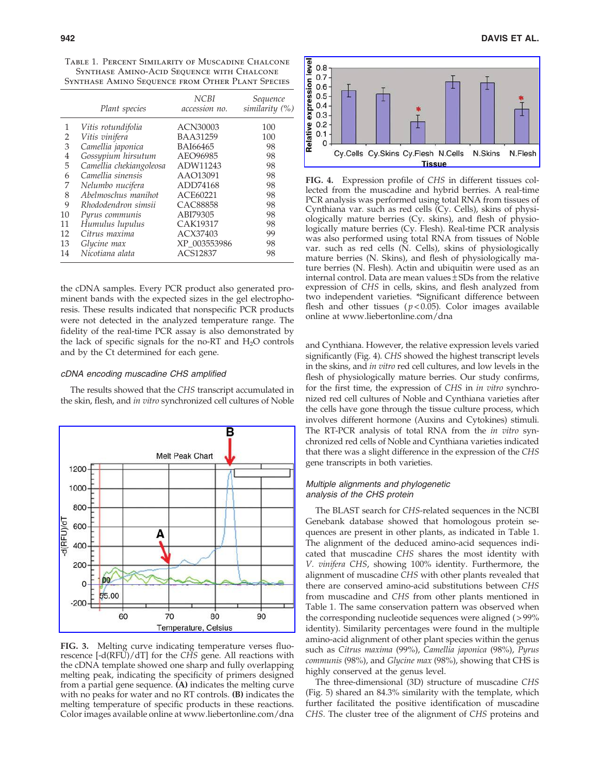Table 1. Percent Similarity of Muscadine Chalcone Synthase Amino-Acid Sequence with Chalcone Synthase Amino Sequence from Other Plant Species

|    | Plant species           | NCBI<br>accession no. | Sequence<br>similarity (%) |
|----|-------------------------|-----------------------|----------------------------|
| 1  | Vitis rotundifolia      | ACN30003              | 100                        |
| 2  | Vitis vinifera          | <b>BAA31259</b>       | 100                        |
| 3  | Camellia japonica       | <b>BAI66465</b>       | 98                         |
| 4  | Gossypium hirsutum      | AEO96985              | 98                         |
| 5  | Camellia chekiangoleosa | ADW11243              | 98                         |
| 6  | Camellia sinensis       | AAO13091              | 98                         |
| 7  | Nelumbo nucifera        | ADD74168              | 98                         |
| 8  | Abelmoschus manihot     | ACE60221              | 98                         |
| 9  | Rhododendron simsii     | <b>CAC88858</b>       | 98                         |
| 10 | Pyrus communis          | ABI79305              | 98                         |
| 11 | Humulus lupulus         | CAK19317              | 98                         |
| 12 | Citrus maxima           | ACX37403              | 99                         |
| 13 | Glycine max             | XP 003553986          | 98                         |
| 14 | Nicotiana alata         | ACS12837              | 98                         |

the cDNA samples. Every PCR product also generated prominent bands with the expected sizes in the gel electrophoresis. These results indicated that nonspecific PCR products were not detected in the analyzed temperature range. The fidelity of the real-time PCR assay is also demonstrated by the lack of specific signals for the no-RT and  $H_2O$  controls and by the Ct determined for each gene.

## cDNA encoding muscadine CHS amplified

The results showed that the CHS transcript accumulated in the skin, flesh, and in vitro synchronized cell cultures of Noble



FIG. 3. Melting curve indicating temperature verses fluorescence [-d(RFU)/dT] for the CHS gene. All reactions with the cDNA template showed one sharp and fully overlapping melting peak, indicating the specificity of primers designed from a partial gene sequence. (A) indicates the melting curve with no peaks for water and no RT controls. (B) indicates the melting temperature of specific products in these reactions. Color images available online at www.liebertonline.com/dna



FIG. 4. Expression profile of CHS in different tissues collected from the muscadine and hybrid berries. A real-time PCR analysis was performed using total RNA from tissues of Cynthiana var. such as red cells (Cy. Cells), skins of physiologically mature berries (Cy. skins), and flesh of physiologically mature berries (Cy. Flesh). Real-time PCR analysis was also performed using total RNA from tissues of Noble var. such as red cells (N. Cells), skins of physiologically mature berries (N. Skins), and flesh of physiologically mature berries (N. Flesh). Actin and ubiquitin were used as an internal control. Data are mean values  $\pm$  SDs from the relative expression of CHS in cells, skins, and flesh analyzed from two independent varieties. \*Significant difference between flesh and other tissues ( $p$ <0.05). Color images available online at www.liebertonline.com/dna

and Cynthiana. However, the relative expression levels varied significantly (Fig. 4). CHS showed the highest transcript levels in the skins, and in vitro red cell cultures, and low levels in the flesh of physiologically mature berries. Our study confirms, for the first time, the expression of CHS in in vitro synchronized red cell cultures of Noble and Cynthiana varieties after the cells have gone through the tissue culture process, which involves different hormone (Auxins and Cytokines) stimuli. The RT-PCR analysis of total RNA from the *in vitro* synchronized red cells of Noble and Cynthiana varieties indicated that there was a slight difference in the expression of the CHS gene transcripts in both varieties.

## Multiple alignments and phylogenetic analysis of the CHS protein

The BLAST search for CHS-related sequences in the NCBI Genebank database showed that homologous protein sequences are present in other plants, as indicated in Table 1. The alignment of the deduced amino-acid sequences indicated that muscadine CHS shares the most identity with V. vinifera CHS, showing 100% identity. Furthermore, the alignment of muscadine CHS with other plants revealed that there are conserved amino-acid substitutions between CHS from muscadine and CHS from other plants mentioned in Table 1. The same conservation pattern was observed when the corresponding nucleotide sequences were aligned (>99% identity). Similarity percentages were found in the multiple amino-acid alignment of other plant species within the genus such as Citrus maxima (99%), Camellia japonica (98%), Pyrus communis (98%), and Glycine max (98%), showing that CHS is highly conserved at the genus level.

The three-dimensional (3D) structure of muscadine CHS (Fig. 5) shared an 84.3% similarity with the template, which further facilitated the positive identification of muscadine CHS. The cluster tree of the alignment of CHS proteins and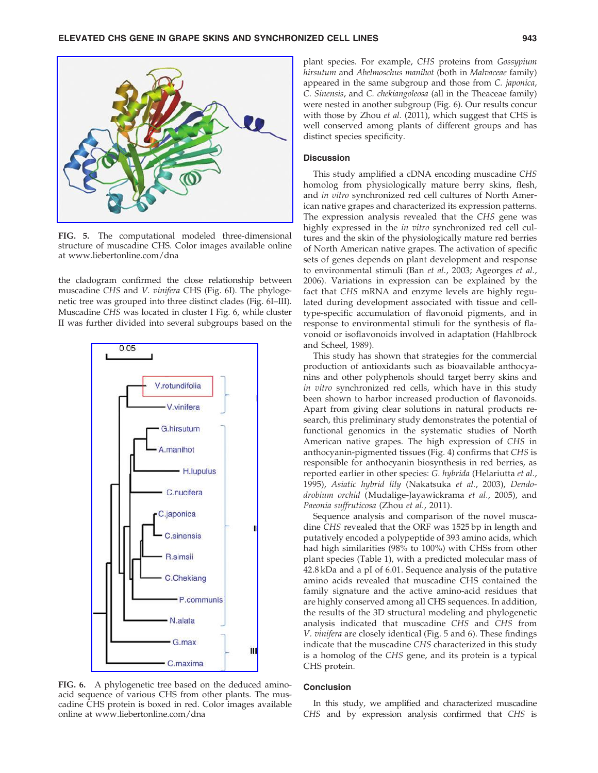

FIG. 5. The computational modeled three-dimensional structure of muscadine CHS. Color images available online at www.liebertonline.com/dna

the cladogram confirmed the close relationship between muscadine CHS and V. vinifera CHS (Fig. 6I). The phylogenetic tree was grouped into three distinct clades (Fig. 6I–III). Muscadine CHS was located in cluster I Fig. 6, while cluster II was further divided into several subgroups based on the



FIG. 6. A phylogenetic tree based on the deduced aminoacid sequence of various CHS from other plants. The muscadine CHS protein is boxed in red. Color images available online at www.liebertonline.com/dna

plant species. For example, CHS proteins from Gossypium hirsutum and Abelmoschus manihot (both in Malvaceae family) appeared in the same subgroup and those from C. japonica, C. Sinensis, and C. chekiangoleosa (all in the Theaceae family) were nested in another subgroup (Fig. 6). Our results concur with those by Zhou *et al.* (2011), which suggest that CHS is well conserved among plants of different groups and has distinct species specificity.

## **Discussion**

This study amplified a cDNA encoding muscadine CHS homolog from physiologically mature berry skins, flesh, and in vitro synchronized red cell cultures of North American native grapes and characterized its expression patterns. The expression analysis revealed that the CHS gene was highly expressed in the in vitro synchronized red cell cultures and the skin of the physiologically mature red berries of North American native grapes. The activation of specific sets of genes depends on plant development and response to environmental stimuli (Ban et al., 2003; Ageorges et al., 2006). Variations in expression can be explained by the fact that CHS mRNA and enzyme levels are highly regulated during development associated with tissue and celltype-specific accumulation of flavonoid pigments, and in response to environmental stimuli for the synthesis of flavonoid or isoflavonoids involved in adaptation (Hahlbrock and Scheel, 1989).

This study has shown that strategies for the commercial production of antioxidants such as bioavailable anthocyanins and other polyphenols should target berry skins and in vitro synchronized red cells, which have in this study been shown to harbor increased production of flavonoids. Apart from giving clear solutions in natural products research, this preliminary study demonstrates the potential of functional genomics in the systematic studies of North American native grapes. The high expression of CHS in anthocyanin-pigmented tissues (Fig. 4) confirms that CHS is responsible for anthocyanin biosynthesis in red berries, as reported earlier in other species: G. hybrida (Helariutta et al., 1995), Asiatic hybrid lily (Nakatsuka et al., 2003), Dendodrobium orchid (Mudalige-Jayawickrama et al., 2005), and Paeonia suffruticosa (Zhou et al., 2011).

Sequence analysis and comparison of the novel muscadine CHS revealed that the ORF was 1525 bp in length and putatively encoded a polypeptide of 393 amino acids, which had high similarities (98% to 100%) with CHSs from other plant species (Table 1), with a predicted molecular mass of 42.8 kDa and a pI of 6.01. Sequence analysis of the putative amino acids revealed that muscadine CHS contained the family signature and the active amino-acid residues that are highly conserved among all CHS sequences. In addition, the results of the 3D structural modeling and phylogenetic analysis indicated that muscadine CHS and CHS from V. vinifera are closely identical (Fig. 5 and 6). These findings indicate that the muscadine CHS characterized in this study is a homolog of the CHS gene, and its protein is a typical CHS protein.

## **Conclusion**

In this study, we amplified and characterized muscadine CHS and by expression analysis confirmed that CHS is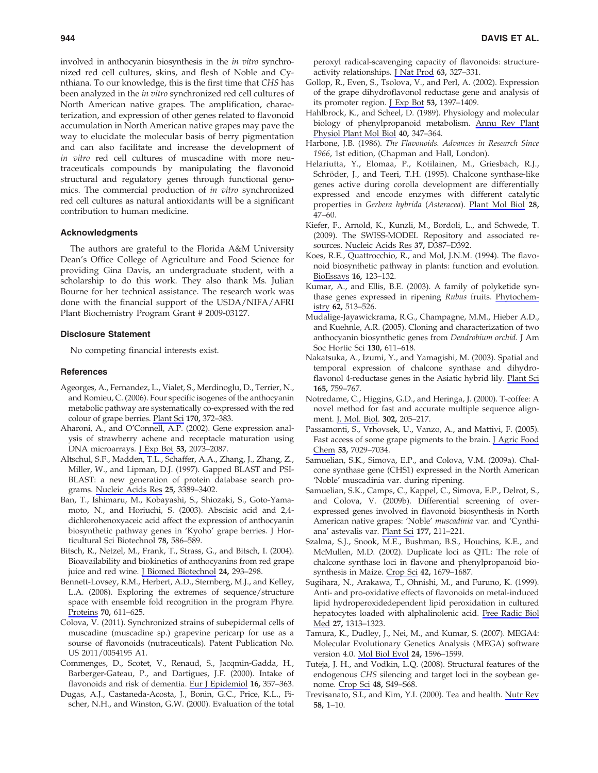involved in anthocyanin biosynthesis in the in vitro synchronized red cell cultures, skins, and flesh of Noble and Cynthiana. To our knowledge, this is the first time that CHS has been analyzed in the in vitro synchronized red cell cultures of North American native grapes. The amplification, characterization, and expression of other genes related to flavonoid accumulation in North American native grapes may pave the way to elucidate the molecular basis of berry pigmentation and can also facilitate and increase the development of in vitro red cell cultures of muscadine with more neutraceuticals compounds by manipulating the flavonoid structural and regulatory genes through functional genomics. The commercial production of in vitro synchronized red cell cultures as natural antioxidants will be a significant contribution to human medicine.

#### Acknowledgments

The authors are grateful to the Florida A&M University Dean's Office College of Agriculture and Food Science for providing Gina Davis, an undergraduate student, with a scholarship to do this work. They also thank Ms. Julian Bourne for her technical assistance. The research work was done with the financial support of the USDA/NIFA/AFRI Plant Biochemistry Program Grant # 2009-03127.

## Disclosure Statement

No competing financial interests exist.

#### References

- Ageorges, A., Fernandez, L., Vialet, S., Merdinoglu, D., Terrier, N., and Romieu, C. (2006). Four specific isogenes of the anthocyanin metabolic pathway are systematically co-expressed with the red colour of grape berries. Plant Sci 170, 372–383.
- Aharoni, A., and O'Connell, A.P. (2002). Gene expression analysis of strawberry achene and receptacle maturation using DNA microarrays. J Exp Bot 53, 2073–2087.
- Altschul, S.F., Madden, T.L., Schaffer, A.A., Zhang, J., Zhang, Z., Miller, W., and Lipman, D.J. (1997). Gapped BLAST and PSI-BLAST: a new generation of protein database search programs. Nucleic Acids Res 25, 3389–3402.
- Ban, T., Ishimaru, M., Kobayashi, S., Shiozaki, S., Goto-Yamamoto, N., and Horiuchi, S. (2003). Abscisic acid and 2,4 dichlorohenoxyaceic acid affect the expression of anthocyanin biosynthetic pathway genes in 'Kyoho' grape berries. J Horticultural Sci Biotechnol 78, 586–589.
- Bitsch, R., Netzel, M., Frank, T., Strass, G., and Bitsch, I. (2004). Bioavailability and biokinetics of anthocyanins from red grape juice and red wine. J Biomed Biotechnol 24, 293–298.
- Bennett-Lovsey, R.M., Herbert, A.D., Sternberg, M.J., and Kelley, L.A. (2008). Exploring the extremes of sequence/structure space with ensemble fold recognition in the program Phyre. Proteins 70, 611–625.
- Colova, V. (2011). Synchronized strains of subepidermal cells of muscadine (muscadine sp.) grapevine pericarp for use as a sourse of flavonoids (nutraceuticals). Patent Publication No. US 2011/0054195 A1.
- Commenges, D., Scotet, V., Renaud, S., Jacqmin-Gadda, H., Barberger-Gateau, P., and Dartigues, J.F. (2000). Intake of flavonoids and risk of dementia. Eur J Epidemiol 16, 357-363.
- Dugas, A.J., Castaneda-Acosta, J., Bonin, G.C., Price, K.L., Fischer, N.H., and Winston, G.W. (2000). Evaluation of the total

peroxyl radical-scavenging capacity of flavonoids: structureactivity relationships. J Nat Prod 63, 327–331.

- Gollop, R., Even, S., Tsolova, V., and Perl, A. (2002). Expression of the grape dihydroflavonol reductase gene and analysis of its promoter region. J Exp Bot 53, 1397–1409.
- Hahlbrock, K., and Scheel, D. (1989). Physiology and molecular biology of phenylpropanoid metabolism. Annu Rev Plant Physiol Plant Mol Biol 40, 347–364.
- Harbone, J.B. (1986). The Flavonoids. Advances in Research Since 1966, 1st edition, (Chapman and Hall, London).
- Helariutta, Y., Elomaa, P., Kotilainen, M., Griesbach, R.J., Schröder, J., and Teeri, T.H. (1995). Chalcone synthase-like genes active during corolla development are differentially expressed and encode enzymes with different catalytic properties in Gerbera hybrida (Asteracea). Plant Mol Biol 28, 47–60.
- Kiefer, F., Arnold, K., Kunzli, M., Bordoli, L., and Schwede, T. (2009). The SWISS-MODEL Repository and associated resources. Nucleic Acids Res 37, D387–D392.
- Koes, R.E., Quattrocchio, R., and Mol, J.N.M. (1994). The flavonoid biosynthetic pathway in plants: function and evolution. BioEssays 16, 123–132.
- Kumar, A., and Ellis, B.E. (2003). A family of polyketide synthase genes expressed in ripening Rubus fruits. Phytochemistry 62, 513–526.
- Mudalige-Jayawickrama, R.G., Champagne, M.M., Hieber A.D., and Kuehnle, A.R. (2005). Cloning and characterization of two anthocyanin biosynthetic genes from Dendrobium orchid. J Am Soc Hortic Sci 130, 611–618.
- Nakatsuka, A., Izumi, Y., and Yamagishi, M. (2003). Spatial and temporal expression of chalcone synthase and dihydroflavonol 4-reductase genes in the Asiatic hybrid lily. Plant Sci 165, 759–767.
- Notredame, C., Higgins, G.D., and Heringa, J. (2000). T-coffee: A novel method for fast and accurate multiple sequence alignment. J. Mol. Biol. 302, 205–217.
- Passamonti, S., Vrhovsek, U., Vanzo, A., and Mattivi, F. (2005). Fast access of some grape pigments to the brain. J Agric Food Chem 53, 7029–7034.
- Samuelian, S.K., Simova, E.P., and Colova, V.M. (2009a). Chalcone synthase gene (CHS1) expressed in the North American 'Noble' muscadinia var. during ripening.
- Samuelian, S.K., Camps, C., Kappel, C., Simova, E.P., Delrot, S., and Colova, V. (2009b). Differential screening of overexpressed genes involved in flavonoid biosynthesis in North American native grapes: 'Noble' muscadinia var. and 'Cynthiana' astevalis var. Plant Sci 177, 211–221.
- Szalma, S.J., Snook, M.E., Bushman, B.S., Houchins, K.E., and McMullen, M.D. (2002). Duplicate loci as QTL: The role of chalcone synthase loci in flavone and phenylpropanoid biosynthesis in Maize. Crop Sci 42, 1679-1687.
- Sugihara, N., Arakawa, T., Ohnishi, M., and Furuno, K. (1999). Anti- and pro-oxidative effects of flavonoids on metal-induced lipid hydroperoxidedependent lipid peroxidation in cultured hepatocytes loaded with alphalinolenic acid. Free Radic Biol Med 27, 1313–1323.
- Tamura, K., Dudley, J., Nei, M., and Kumar, S. (2007). MEGA4: Molecular Evolutionary Genetics Analysis (MEGA) software version 4.0. Mol Biol Evol 24, 1596–1599.
- Tuteja, J. H., and Vodkin, L.Q. (2008). Structural features of the endogenous CHS silencing and target loci in the soybean genome. Crop Sci 48, S49–S68.
- Trevisanato, S.I., and Kim, Y.I. (2000). Tea and health. Nutr Rev 58, 1–10.